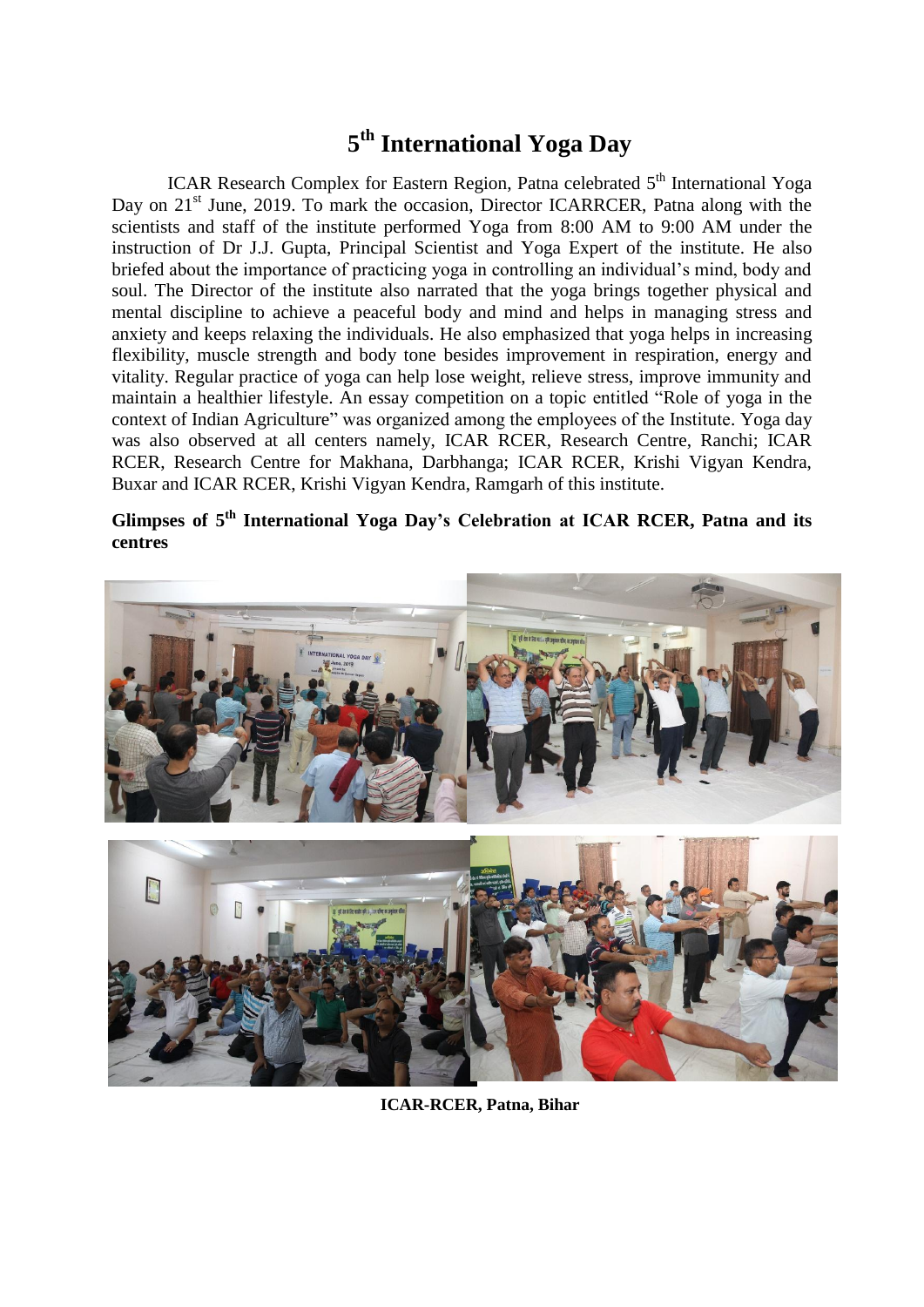## **5 th International Yoga Day**

ICAR Research Complex for Eastern Region, Patna celebrated 5<sup>th</sup> International Yoga Day on 21<sup>st</sup> June, 2019. To mark the occasion, Director ICARRCER, Patna along with the scientists and staff of the institute performed Yoga from 8:00 AM to 9:00 AM under the instruction of Dr J.J. Gupta, Principal Scientist and Yoga Expert of the institute. He also briefed about the importance of practicing yoga in controlling an individual's mind, body and soul. The Director of the institute also narrated that the yoga brings together physical and mental discipline to achieve a peaceful body and mind and helps in managing stress and anxiety and keeps relaxing the individuals. He also emphasized that yoga helps in increasing flexibility, muscle strength and body tone besides improvement in respiration, energy and vitality. Regular practice of yoga can help lose weight, relieve stress, improve immunity and maintain a healthier lifestyle. An essay competition on a topic entitled "Role of yoga in the context of Indian Agriculture" was organized among the employees of the Institute. Yoga day was also observed at all centers namely, ICAR RCER, Research Centre, Ranchi; ICAR RCER, Research Centre for Makhana, Darbhanga; ICAR RCER, Krishi Vigyan Kendra, Buxar and ICAR RCER, Krishi Vigyan Kendra, Ramgarh of this institute.

Glimpses of 5<sup>th</sup> International Yoga Day's Celebration at ICAR RCER, Patna and its **centres**



**ICAR-RCER, Patna, Bihar**